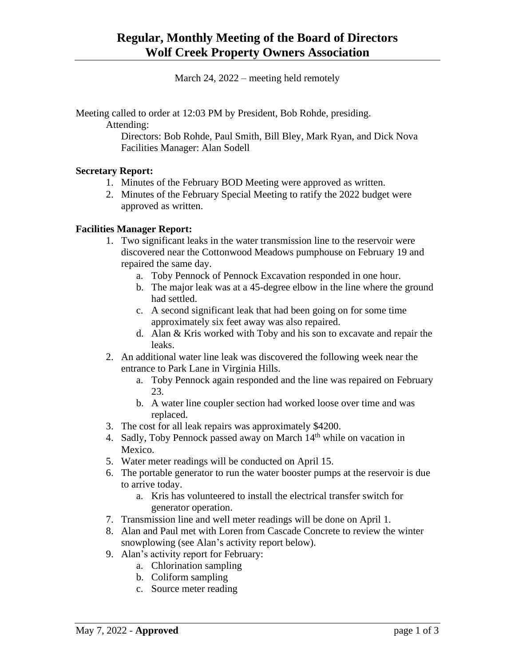March 24, 2022 – meeting held remotely

Meeting called to order at 12:03 PM by President, Bob Rohde, presiding.

Attending:

Directors: Bob Rohde, Paul Smith, Bill Bley, Mark Ryan, and Dick Nova Facilities Manager: Alan Sodell

### **Secretary Report:**

- 1. Minutes of the February BOD Meeting were approved as written.
- 2. Minutes of the February Special Meeting to ratify the 2022 budget were approved as written.

### **Facilities Manager Report:**

- 1. Two significant leaks in the water transmission line to the reservoir were discovered near the Cottonwood Meadows pumphouse on February 19 and repaired the same day.
	- a. Toby Pennock of Pennock Excavation responded in one hour.
	- b. The major leak was at a 45-degree elbow in the line where the ground had settled.
	- c. A second significant leak that had been going on for some time approximately six feet away was also repaired.
	- d. Alan & Kris worked with Toby and his son to excavate and repair the leaks.
- 2. An additional water line leak was discovered the following week near the entrance to Park Lane in Virginia Hills.
	- a. Toby Pennock again responded and the line was repaired on February 23.
	- b. A water line coupler section had worked loose over time and was replaced.
- 3. The cost for all leak repairs was approximately \$4200.
- 4. Sadly, Toby Pennock passed away on March  $14<sup>th</sup>$  while on vacation in Mexico.
- 5. Water meter readings will be conducted on April 15.
- 6. The portable generator to run the water booster pumps at the reservoir is due to arrive today.
	- a. Kris has volunteered to install the electrical transfer switch for generator operation.
- 7. Transmission line and well meter readings will be done on April 1.
- 8. Alan and Paul met with Loren from Cascade Concrete to review the winter snowplowing (see Alan's activity report below).
- 9. Alan's activity report for February:
	- a. Chlorination sampling
	- b. Coliform sampling
	- c. Source meter reading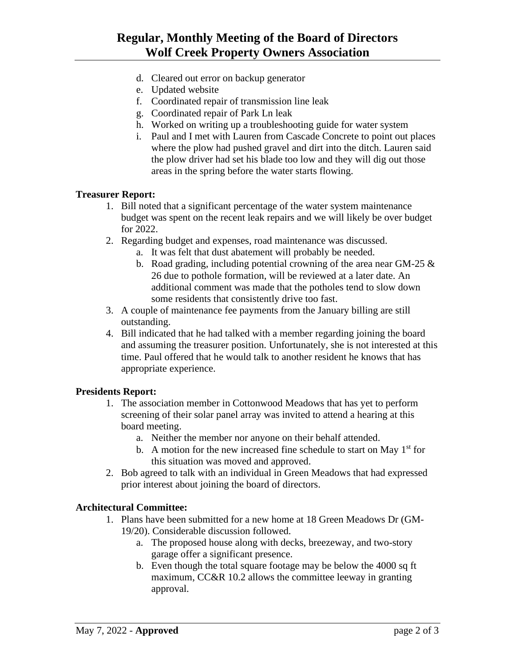# **Regular, Monthly Meeting of the Board of Directors Wolf Creek Property Owners Association**

- d. Cleared out error on backup generator
- e. Updated website
- f. Coordinated repair of transmission line leak
- g. Coordinated repair of Park Ln leak
- h. Worked on writing up a troubleshooting guide for water system
- i. Paul and I met with Lauren from Cascade Concrete to point out places where the plow had pushed gravel and dirt into the ditch. Lauren said the plow driver had set his blade too low and they will dig out those areas in the spring before the water starts flowing.

#### **Treasurer Report:**

- 1. Bill noted that a significant percentage of the water system maintenance budget was spent on the recent leak repairs and we will likely be over budget for 2022.
- 2. Regarding budget and expenses, road maintenance was discussed.
	- a. It was felt that dust abatement will probably be needed.
	- b. Road grading, including potential crowning of the area near GM-25  $\&$ 26 due to pothole formation, will be reviewed at a later date. An additional comment was made that the potholes tend to slow down some residents that consistently drive too fast.
- 3. A couple of maintenance fee payments from the January billing are still outstanding.
- 4. Bill indicated that he had talked with a member regarding joining the board and assuming the treasurer position. Unfortunately, she is not interested at this time. Paul offered that he would talk to another resident he knows that has appropriate experience.

#### **Presidents Report:**

- 1. The association member in Cottonwood Meadows that has yet to perform screening of their solar panel array was invited to attend a hearing at this board meeting.
	- a. Neither the member nor anyone on their behalf attended.
	- b. A motion for the new increased fine schedule to start on May  $1<sup>st</sup>$  for this situation was moved and approved.
- 2. Bob agreed to talk with an individual in Green Meadows that had expressed prior interest about joining the board of directors.

#### **Architectural Committee:**

- 1. Plans have been submitted for a new home at 18 Green Meadows Dr (GM-19/20). Considerable discussion followed.
	- a. The proposed house along with decks, breezeway, and two-story garage offer a significant presence.
	- b. Even though the total square footage may be below the 4000 sq ft maximum, CC&R 10.2 allows the committee leeway in granting approval.